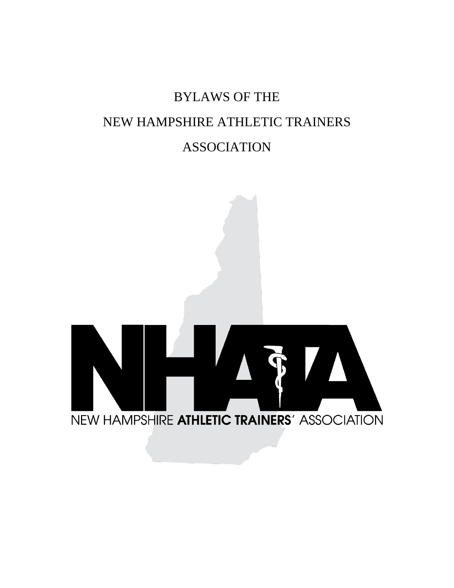# BYLAWS OF THE NEW HAMPSHIRE ATHLETIC TRAINERS ASSOCIATION

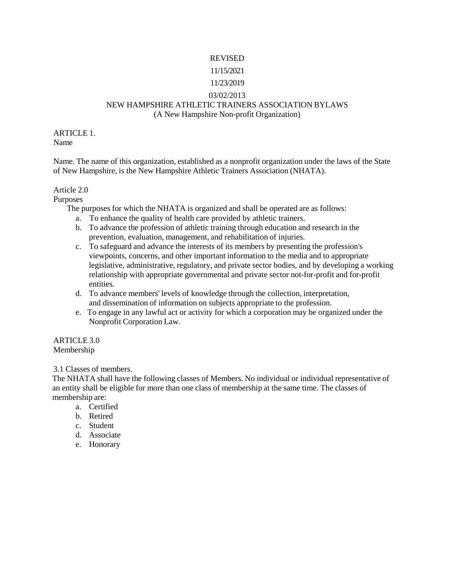# REVISED

# 11/15/2021

# 11/23/2019

# 03/02/2013

# NEW HAMPSHIRE ATHLETIC TRAINERS ASSOCIATION BYLAWS

(A New Hampshire Non-profit Organization)

ARTICLE 1. Name

Name. The name of this organization, established as a nonprofit organization under the laws of the State of New Hampshire, is the New Hampshire Athletic Trainers Association (NHATA).

# Article 2.0

Purposes

The purposes for which the NHATA is organized and shall be operated are as follows:

- a. To enhance the quality of health care provided by athletic trainers.
- b. To advance the profession of athletic training through education and research in the prevention, evaluation, management, and rehabilitation of injuries.
- c. To safeguard and advance the interests of its members by presenting the profession's viewpoints, concerns, and other important information to the media and to appropriate legislative, administrative, regulatory, and private sector bodies, and by developing a working relationship with appropriate governmental and private sector not-for-profit and for-profit entities.
- d. To advance members' levels of knowledge through the collection, interpretation, and dissemination of information on subjects appropriate to the profession.
- e. To engage in any lawful act or activity for which a corporation may be organized under the Nonprofit Corporation Law.

#### ARTICLE 3.0 Membership

3.1 Classes of members.

The NHATA shall have the following classes of Members. No individual or individual representative of an entity shall be eligible for more than one class of membership at the same time. The classes of membership are:

- a. Certified
- b. Retired
- c. Student
- d. Associate
- e. Honorary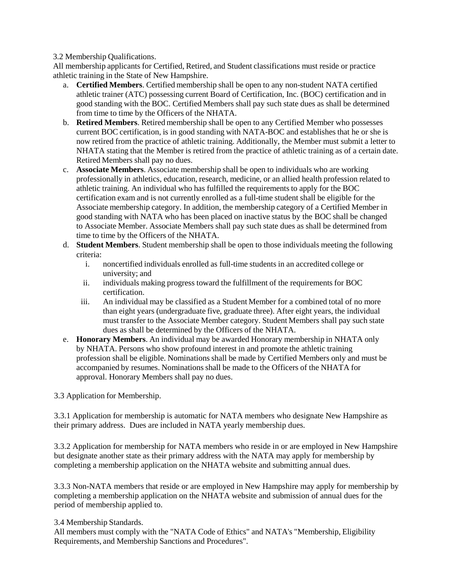3.2 Membership Qualifications.

All membership applicants for Certified, Retired, and Student classifications must reside or practice athletic training in the State of New Hampshire.

- a. **Certified Members**. Certified membership shall be open to any non-student NATA certified athletic trainer (ATC) possessing current Board of Certification, Inc. (BOC) certification and in good standing with the BOC. Certified Members shall pay such state dues as shall be determined from time to time by the Officers of the NHATA.
- b. **Retired Members**. Retired membership shall be open to any Certified Member who possesses current BOC certification, is in good standing with NATA-BOC and establishes that he or she is now retired from the practice of athletic training. Additionally, the Member must submit a letter to NHATA stating that the Member is retired from the practice of athletic training as of a certain date. Retired Members shall pay no dues.
- c. **Associate Members**. Associate membership shall be open to individuals who are working professionally in athletics, education, research, medicine, or an allied health profession related to athletic training. An individual who has fulfilled the requirements to apply for the BOC certification exam and is not currently enrolled as a full-time student shall be eligible for the Associate membership category. In addition, the membership category of a Certified Member in good standing with NATA who has been placed on inactive status by the BOC shall be changed to Associate Member. Associate Members shall pay such state dues as shall be determined from time to time by the Officers of the NHATA.
- d. **Student Members**. Student membership shall be open to those individuals meeting the following criteria:
	- i. noncertified individuals enrolled as full-time students in an accredited college or university; and
	- ii. individuals making progress toward the fulfillment of the requirements for BOC certification.
	- iii. An individual may be classified as a Student Member for a combined total of no more than eight years (undergraduate five, graduate three). After eight years, the individual must transfer to the Associate Member category. Student Members shall pay such state dues as shall be determined by the Officers of the NHATA.
- e. **Honorary Members**. An individual may be awarded Honorary membership in NHATA only by NHATA. Persons who show profound interest in and promote the athletic training profession shall be eligible. Nominations shall be made by Certified Members only and must be accompanied by resumes. Nominations shall be made to the Officers of the NHATA for approval. Honorary Members shall pay no dues.

3.3 Application for Membership.

3.3.1 Application for membership is automatic for NATA members who designate New Hampshire as their primary address. Dues are included in NATA yearly membership dues.

3.3.2 Application for membership for NATA members who reside in or are employed in New Hampshire but designate another state as their primary address with the NATA may apply for membership by completing a membership application on the NHATA website and submitting annual dues.

3.3.3 Non-NATA members that reside or are employed in New Hampshire may apply for membership by completing a membership application on the NHATA website and submission of annual dues for the period of membership applied to.

3.4 Membership Standards.

All members must comply with the "NATA Code of Ethics" and NATA's "Membership, Eligibility Requirements, and Membership Sanctions and Procedures".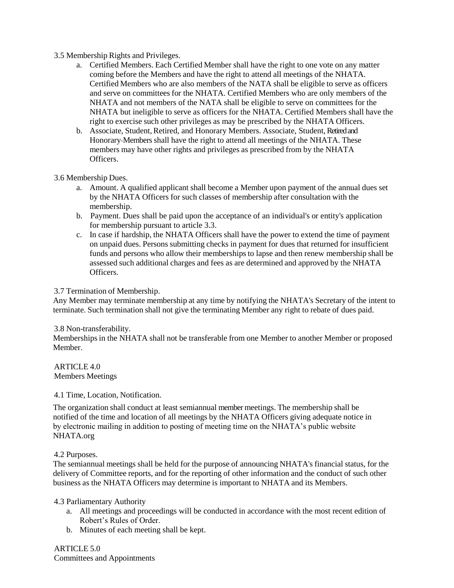#### 3.5 Membership Rights and Privileges.

- a. Certified Members. Each Certified Member shall have the right to one vote on any matter coming before the Members and have the right to attend all meetings of the NHATA. Certified Members who are also members of the NATA shall be eligible to serve as officers and serve on committees for the NHATA. Certified Members who are only members of the NHATA and not members of the NATA shall be eligible to serve on committees for the NHATA but ineligible to serve as officers for the NHATA. Certified Members shall have the right to exercise such other privileges as may be prescribed by the NHATA Officers.
- b. Associate, Student, Retired, and Honorary Members. Associate, Student, Retired and Honorary-Members shall have the right to attend all meetings of the NHATA. These members may have other rights and privileges as prescribed from by the NHATA Officers.

#### 3.6 Membership Dues.

- a. Amount. A qualified applicant shall become a Member upon payment of the annual dues set by the NHATA Officers for such classes of membership after consultation with the membership.
- b. Payment. Dues shall be paid upon the acceptance of an individual's or entity's application for membership pursuant to article 3.3.
- c. In case if hardship, the NHATA Officers shall have the power to extend the time of payment on unpaid dues. Persons submitting checks in payment for dues that returned for insufficient funds and persons who allow their membershipsto lapse and then renew membership shall be assessed such additional charges and fees as are determined and approved by the NHATA Officers.

# 3.7 Termination of Membership.

Any Member may terminate membership at any time by notifying the NHATA's Secretary of the intent to terminate. Such termination shall not give the terminating Member any right to rebate of dues paid.

#### 3.8 Non-transferability.

Membershipsin the NHATA shall not be transferable from one Member to another Member or proposed Member.

ARTICLE 4.0 Members Meetings

4.1 Time, Location, Notification.

The organization shall conduct at least semiannual member meetings. The membership shall be notified of the time and location of all meetings by the NHATA Officers giving adequate notice in by electronic mailing in addition to posting of meeting time on the NHATA's public website NHATA.org

#### 4.2 Purposes.

The semiannual meetings shall be held for the purpose of announcing NHATA's financial status, for the delivery of Committee reports, and for the reporting of other information and the conduct of such other business as the NHATA Officers may determine is important to NHATA and its Members.

#### 4.3 Parliamentary Authority

- a. All meetings and proceedings will be conducted in accordance with the most recent edition of Robert's Rules of Order.
- b. Minutes of each meeting shall be kept.

ARTICLE 5.0 Committees and Appointments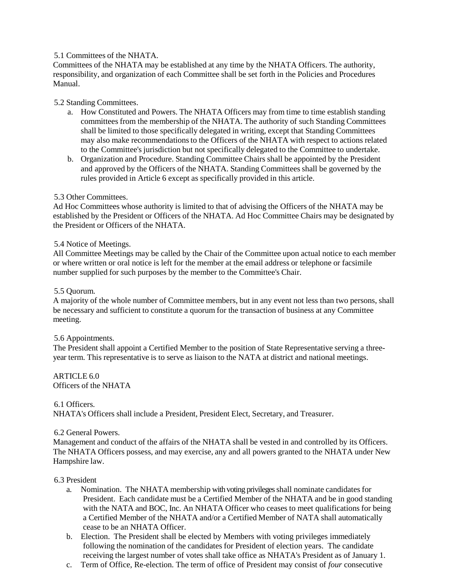# 5.1 Committees of the NHATA.

Committees of the NHATA may be established at any time by the NHATA Officers. The authority, responsibility, and organization of each Committee shall be set forth in the Policies and Procedures Manual.

#### 5.2 Standing Committees.

- a. How Constituted and Powers. The NHATA Officers may from time to time establish standing committees from the membership of the NHATA. The authority of such Standing Committees shall be limited to those specifically delegated in writing, except that Standing Committees may also make recommendations to the Officers of the NHATA with respect to actions related to the Committee's jurisdiction but not specifically delegated to the Committee to undertake.
- b. Organization and Procedure. Standing Committee Chairs shall be appointed by the President and approved by the Officers of the NHATA. Standing Committees shall be governed by the rules provided in Article 6 except as specifically provided in this article.

# 5.3 Other Committees.

Ad Hoc Committees whose authority is limited to that of advising the Officers of the NHATA may be established by the President or Officers of the NHATA. Ad Hoc Committee Chairs may be designated by the President or Officers of the NHATA.

#### 5.4 Notice of Meetings.

All Committee Meetings may be called by the Chair of the Committee upon actual notice to each member or where written or oral notice is left for the member at the email address or telephone or facsimile number supplied for such purposes by the member to the Committee's Chair.

#### 5.5 Quorum.

A majority of the whole number of Committee members, but in any event not less than two persons, shall be necessary and sufficient to constitute a quorum for the transaction of business at any Committee meeting.

#### 5.6 Appointments.

The President shall appoint a Certified Member to the position of State Representative serving a threeyear term. This representative is to serve as liaison to the NATA at district and national meetings.

#### ARTICLE 6.0 Officers of the NHATA

#### 6.1 Officers.

NHATA's Officers shall include a President, President Elect, Secretary, and Treasurer.

#### 6.2 General Powers.

Management and conduct of the affairs of the NHATA shall be vested in and controlled by its Officers. The NHATA Officers possess, and may exercise, any and all powers granted to the NHATA under New Hampshire law.

#### 6.3 President

- a. Nomination. The NHATA membership with voting privileges shall nominate candidates for President. Each candidate must be a Certified Member of the NHATA and be in good standing with the NATA and BOC, Inc. An NHATA Officer who ceases to meet qualifications for being a Certified Member of the NHATA and/or a Certified Member of NATA shall automatically cease to be an NHATA Officer.
- b. Election. The President shall be elected by Members with voting privileges immediately following the nomination of the candidates for President of election years. The candidate receiving the largest number of votes shall take office as NHATA's President as of January 1.
- c. Term of Office, Re-election. The term of office of President may consist of *four* consecutive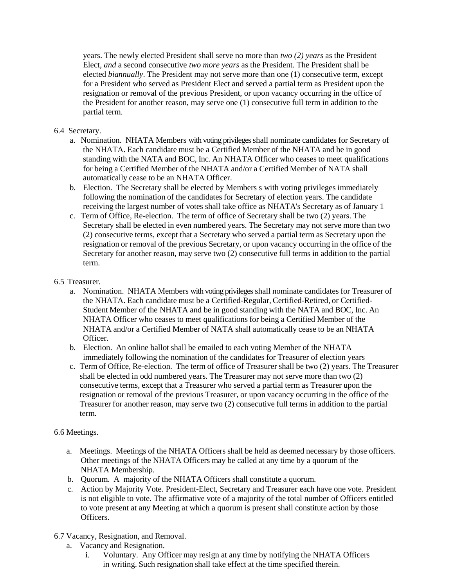years. The newly elected President shall serve no more than *two (2) years* as the President Elect, *and* a second consecutive *two more years* as the President. The President shall be elected *biannually*. The President may not serve more than one (1) consecutive term, except for a President who served as President Elect and served a partial term as President upon the resignation or removal of the previous President, or upon vacancy occurring in the office of the President for another reason, may serve one (1) consecutive full term in addition to the partial term.

# 6.4 Secretary.

- a. Nomination. NHATA Members with voting privilegesshall nominate candidates for Secretary of the NHATA. Each candidate must be a Certified Member of the NHATA and be in good standing with the NATA and BOC, Inc. An NHATA Officer who ceases to meet qualifications for being a Certified Member of the NHATA and/or a Certified Member of NATA shall automatically cease to be an NHATA Officer.
- b. Election. The Secretary shall be elected by Members s with voting privileges immediately following the nomination of the candidates for Secretary of election years. The candidate receiving the largest number of votes shall take office as NHATA's Secretary as of January 1
- c. Term of Office, Re-election. The term of office of Secretary shall be two (2) years. The Secretary shall be elected in even numbered years. The Secretary may not serve more than two (2) consecutive terms, except that a Secretary who served a partial term as Secretary upon the resignation or removal of the previous Secretary, or upon vacancy occurring in the office of the Secretary for another reason, may serve two (2) consecutive full terms in addition to the partial term.

# 6.5 Treasurer.

- a. Nomination. NHATA Members with voting privileges shall nominate candidates for Treasurer of the NHATA. Each candidate must be a Certified-Regular, Certified-Retired, or Certified-Student Member of the NHATA and be in good standing with the NATA and BOC, Inc. An NHATA Officer who ceases to meet qualifications for being a Certified Member of the NHATA and/or a Certified Member of NATA shall automatically cease to be an NHATA **Officer**
- b. Election. An online ballot shall be emailed to each voting Member of the NHATA immediately following the nomination of the candidates for Treasurer of election years
- c. Term of Office, Re-election. The term of office of Treasurer shall be two (2) years. The Treasurer shall be elected in odd numbered years. The Treasurer may not serve more than two (2) consecutive terms, except that a Treasurer who served a partial term as Treasurer upon the resignation or removal of the previous Treasurer, or upon vacancy occurring in the office of the Treasurer for another reason, may serve two (2) consecutive full terms in addition to the partial term.

#### 6.6 Meetings.

- a. Meetings. Meetings of the NHATA Officers shall be held as deemed necessary by those officers. Other meetings of the NHATA Officers may be called at any time by a quorum of the NHATA Membership.
- b. Quorum. A majority of the NHATA Officers shall constitute a quorum.
- c. Action by Majority Vote. President-Elect, Secretary and Treasurer each have one vote*.* President is not eligible to vote. The affirmative vote of a majority of the total number of Officers entitled to vote present at any Meeting at which a quorum is present shall constitute action by those Officers.
- 6.7 Vacancy, Resignation, and Removal.
	- a. Vacancy and Resignation.
		- i. Voluntary. Any Officer may resign at any time by notifying the NHATA Officers in writing. Such resignation shall take effect at the time specified therein.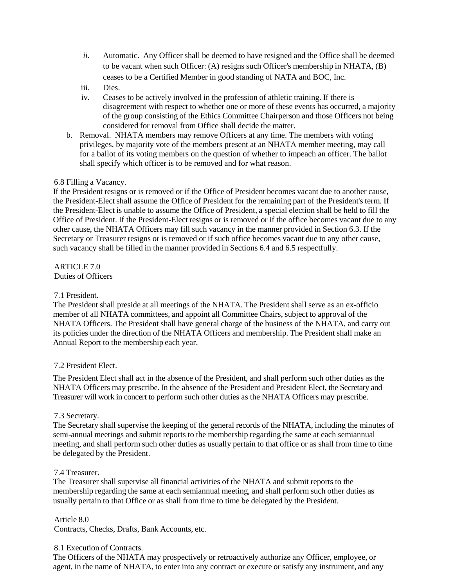- *ii.* Automatic. Any Officer shall be deemed to have resigned and the Office shall be deemed to be vacant when such Officer: (A) resigns such Officer's membership in NHATA, (B) ceases to be a Certified Member in good standing of NATA and BOC, Inc.
- iii. Dies.
- iv. Ceases to be actively involved in the profession of athletic training. If there is disagreement with respect to whether one or more of these events has occurred, a majority of the group consisting of the Ethics Committee Chairperson and those Officers not being considered for removal from Office shall decide the matter.
- b. Removal. NHATA members may remove Officers at any time. The members with voting privileges, by majority vote of the members present at an NHATA member meeting, may call for a ballot of its voting members on the question of whether to impeach an officer. The ballot shall specify which officer is to be removed and for what reason.

# 6.8 Filling a Vacancy.

If the President resigns or is removed or if the Office of President becomes vacant due to another cause, the President-Elect shall assume the Office of President for the remaining part of the President's term. If the President-Elect is unable to assume the Office of President, a special election shall be held to fill the Office of President. If the President-Elect resigns or is removed or if the office becomes vacant due to any other cause, the NHATA Officers may fill such vacancy in the manner provided in Section 6.3. If the Secretary or Treasurer resigns or is removed or if such office becomes vacant due to any other cause, such vacancy shall be filled in the manner provided in Sections 6.4 and 6.5 respectfully.

ARTICLE 7.0 Duties of Officers

#### 7.1 President.

The President shall preside at all meetings of the NHATA. The President shall serve as an ex-officio member of all NHATA committees, and appoint all Committee Chairs, subject to approval of the NHATA Officers. The President shall have general charge of the business of the NHATA, and carry out its policies under the direction of the NHATA Officers and membership. The President shall make an Annual Report to the membership each year.

#### 7.2 President Elect.

The President Elect shall act in the absence of the President, and shall perform such other duties as the NHATA Officers may prescribe. In the absence of the President and President Elect, the Secretary and Treasurer will work in concert to perform such other duties as the NHATA Officers may prescribe.

#### 7.3 Secretary.

The Secretary shall supervise the keeping of the general records of the NHATA, including the minutes of semi-annual meetings and submit reports to the membership regarding the same at each semiannual meeting, and shall perform such other duties as usually pertain to that office or as shall from time to time be delegated by the President.

#### 7.4 Treasurer.

The Treasurer shall supervise all financial activities of the NHATA and submit reports to the membership regarding the same at each semiannual meeting, and shall perform such other duties as usually pertain to that Office or as shall from time to time be delegated by the President.

#### Article 8.0

Contracts, Checks, Drafts, Bank Accounts, etc.

#### 8.1 Execution of Contracts.

The Officers of the NHATA may prospectively or retroactively authorize any Officer, employee, or agent, in the name of NHATA, to enter into any contract or execute or satisfy any instrument, and any